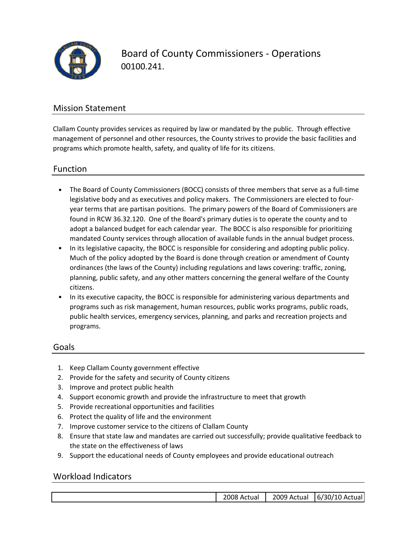

Board of County Commissioners ‐ Operations 00100.241.

### Mission Statement

Clallam County provides services as required by law or mandated by the public. Through effective management of personnel and other resources, the County strives to provide the basic facilities and programs which promote health, safety, and quality of life for its citizens.

### Function

- The Board of County Commissioners (BOCC) consists of three members that serve as a full‐time legislative body and as executives and policy makers. The Commissioners are elected to four‐ year terms that are partisan positions. The primary powers of the Board of Commissioners are found in RCW 36.32.120. One of the Board's primary duties is to operate the county and to adopt a balanced budget for each calendar year. The BOCC is also responsible for prioritizing mandated County services through allocation of available funds in the annual budget process.
- In its legislative capacity, the BOCC is responsible for considering and adopting public policy. Much of the policy adopted by the Board is done through creation or amendment of County ordinances (the laws of the County) including regulations and laws covering: traffic, zoning, planning, public safety, and any other matters concerning the general welfare of the County citizens.
- In its executive capacity, the BOCC is responsible for administering various departments and programs such as risk management, human resources, public works programs, public roads, public health services, emergency services, planning, and parks and recreation projects and programs.

### Goals

- 1. Keep Clallam County government effective
- 2. Provide for the safety and security of County citizens
- 3. Improve and protect public health
- 4. Support economic growth and provide the infrastructure to meet that growth
- 5. Provide recreational opportunities and facilities
- 6. Protect the quality of life and the environment
- 7. Improve customer service to the citizens of Clallam County
- 8. Ensure that state law and mandates are carried out successfully; provide qualitative feedback to the state on the effectiveness of laws
- 9. Support the educational needs of County employees and provide educational outreach

### Workload Indicators

| ل Actual ای ب | . 2009<br>Actual | ual!.<br>⊥0<br>٬30٬<br>67<br>Aι |
|---------------|------------------|---------------------------------|
|               |                  |                                 |